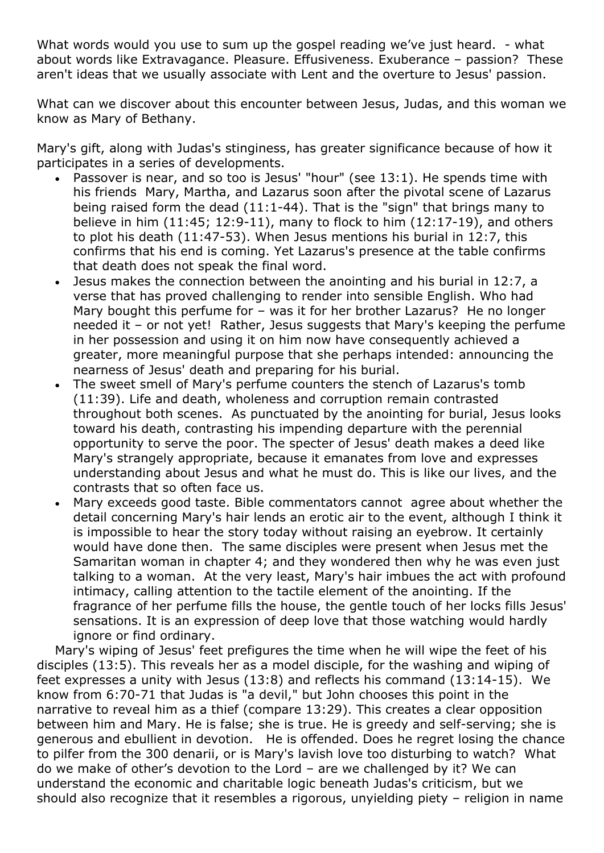What words would you use to sum up the gospel reading we've just heard. - what about words like Extravagance. Pleasure. Effusiveness. Exuberance – passion? These aren't ideas that we usually associate with Lent and the overture to Jesus' passion.

What can we discover about this encounter between Jesus, Judas, and this woman we know as Mary of Bethany.

Mary's gift, along with Judas's stinginess, has greater significance because of how it participates in a series of developments.

- Passover is near, and so too is Jesus' "hour" (see 13:1). He spends time with his friends Mary, Martha, and Lazarus soon after the pivotal scene of Lazarus being raised form the dead (11:1-44). That is the "sign" that brings many to believe in him (11:45; 12:9-11), many to flock to him (12:17-19), and others to plot his death (11:47-53). When Jesus mentions his burial in 12:7, this confirms that his end is coming. Yet Lazarus's presence at the table confirms that death does not speak the final word.
- Jesus makes the connection between the anointing and his burial in 12:7, a verse that has proved challenging to render into sensible English. Who had Mary bought this perfume for – was it for her brother Lazarus? He no longer needed it – or not yet! Rather, Jesus suggests that Mary's keeping the perfume in her possession and using it on him now have consequently achieved a greater, more meaningful purpose that she perhaps intended: announcing the nearness of Jesus' death and preparing for his burial.
- The sweet smell of Mary's perfume counters the stench of Lazarus's tomb (11:39). Life and death, wholeness and corruption remain contrasted throughout both scenes. As punctuated by the anointing for burial, Jesus looks toward his death, contrasting his impending departure with the perennial opportunity to serve the poor. The specter of Jesus' death makes a deed like Mary's strangely appropriate, because it emanates from love and expresses understanding about Jesus and what he must do. This is like our lives, and the contrasts that so often face us.
- Mary exceeds good taste. Bible commentators cannot agree about whether the detail concerning Mary's hair lends an erotic air to the event, although I think it is impossible to hear the story today without raising an eyebrow. It certainly would have done then. The same disciples were present when Jesus met the Samaritan woman in chapter 4; and they wondered then why he was even just talking to a woman. At the very least, Mary's hair imbues the act with profound intimacy, calling attention to the tactile element of the anointing. If the fragrance of her perfume fills the house, the gentle touch of her locks fills Jesus' sensations. It is an expression of deep love that those watching would hardly ignore or find ordinary.

Mary's wiping of Jesus' feet prefigures the time when he will wipe the feet of his disciples (13:5). This reveals her as a model disciple, for the washing and wiping of feet expresses a unity with Jesus (13:8) and reflects his command (13:14-15). We know from 6:70-71 that Judas is "a devil," but John chooses this point in the narrative to reveal him as a thief (compare 13:29). This creates a clear opposition between him and Mary. He is false; she is true. He is greedy and self-serving; she is generous and ebullient in devotion. He is offended. Does he regret losing the chance to pilfer from the 300 denarii, or is Mary's lavish love too disturbing to watch? What do we make of other's devotion to the Lord – are we challenged by it? We can understand the economic and charitable logic beneath Judas's criticism, but we should also recognize that it resembles a rigorous, unyielding piety – religion in name